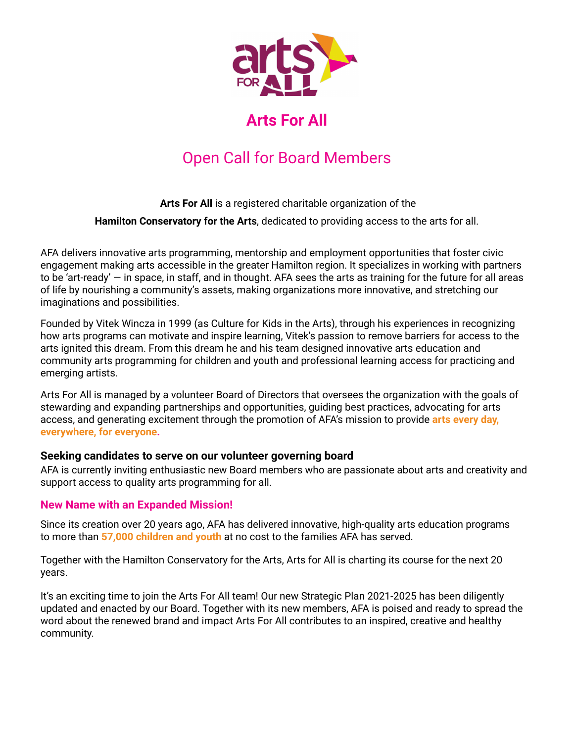

## **Arts For All**

# Open Call for Board Members

#### **Arts For All** is a registered charitable organization of the

**Hamilton Conservatory for the Arts**, dedicated to providing access to the arts for all.

AFA delivers innovative arts programming, mentorship and employment opportunities that foster civic engagement making arts accessible in the greater Hamilton region. It specializes in working with partners to be 'art-ready' — in space, in staff, and in thought. AFA sees the arts as training for the future for all areas of life by nourishing a community's assets, making organizations more innovative, and stretching our imaginations and possibilities.

Founded by Vitek Wincza in 1999 (as Culture for Kids in the Arts), through his experiences in recognizing how arts programs can motivate and inspire learning, Vitek's passion to remove barriers for access to the arts ignited this dream. From this dream he and his team designed innovative arts education and community arts programming for children and youth and professional learning access for practicing and emerging artists.

Arts For All is managed by a volunteer Board of Directors that oversees the organization with the goals of stewarding and expanding partnerships and opportunities, guiding best practices, advocating for arts access, and generating excitement through the promotion of AFA's mission to provide **arts every day, everywhere, for everyone.**

#### **Seeking candidates to serve on our volunteer governing board**

AFA is currently inviting enthusiastic new Board members who are passionate about arts and creativity and support access to quality arts programming for all.

## **New Name with an Expanded Mission!**

Since its creation over 20 years ago, AFA has delivered innovative, high-quality arts education programs to more than **57,000 children and youth** at no cost to the families AFA has served.

Together with the Hamilton Conservatory for the Arts, Arts for All is charting its course for the next 20 years.

It's an exciting time to join the Arts For All team! Our new Strategic Plan 2021-2025 has been diligently updated and enacted by our Board. Together with its new members, AFA is poised and ready to spread the word about the renewed brand and impact Arts For All contributes to an inspired, creative and healthy community.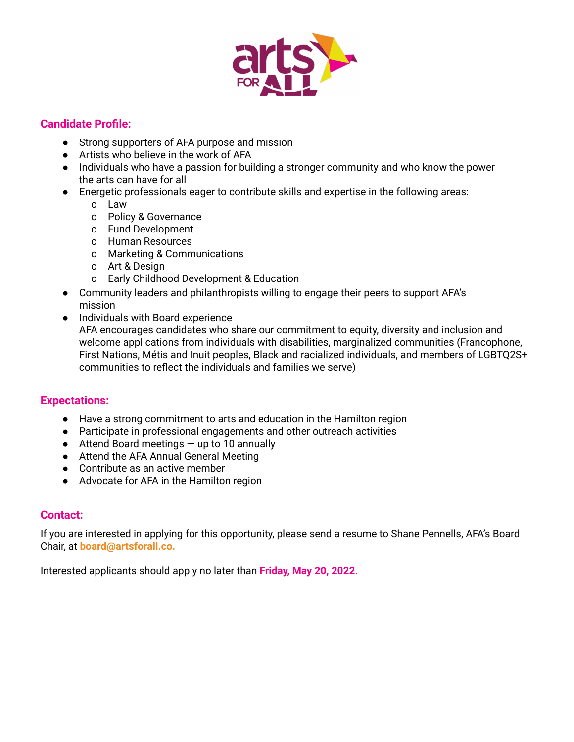

#### **Candidate Profile:**

- Strong supporters of AFA purpose and mission
- Artists who believe in the work of AFA
- Individuals who have a passion for building a stronger community and who know the power the arts can have for all
- Energetic professionals eager to contribute skills and expertise in the following areas:
	- o Law
	- o Policy & Governance
	- o Fund Development
	- o Human Resources
	- o Marketing & Communications
	- o Art & Design
	- o Early Childhood Development & Education
- Community leaders and philanthropists willing to engage their peers to support AFA's mission
- Individuals with Board experience AFA encourages candidates who share our commitment to equity, diversity and inclusion and welcome applications from individuals with disabilities, marginalized communities (Francophone, First Nations, Métis and Inuit peoples, Black and racialized individuals, and members of LGBTQ2S+ communities to reflect the individuals and families we serve)

## **Expectations:**

- Have a strong commitment to arts and education in the Hamilton region
- Participate in professional engagements and other outreach activities
- $\bullet$  Attend Board meetings  $-$  up to 10 annually
- Attend the AFA Annual General Meeting
- Contribute as an active member
- Advocate for AFA in the Hamilton region

#### **Contact:**

If you are interested in applying for this opportunity, please send a resume to Shane Pennells, AFA's Board Chair, at **board@artsforall.co.**

Interested applicants should apply no later than **Friday, May 20, 2022**.